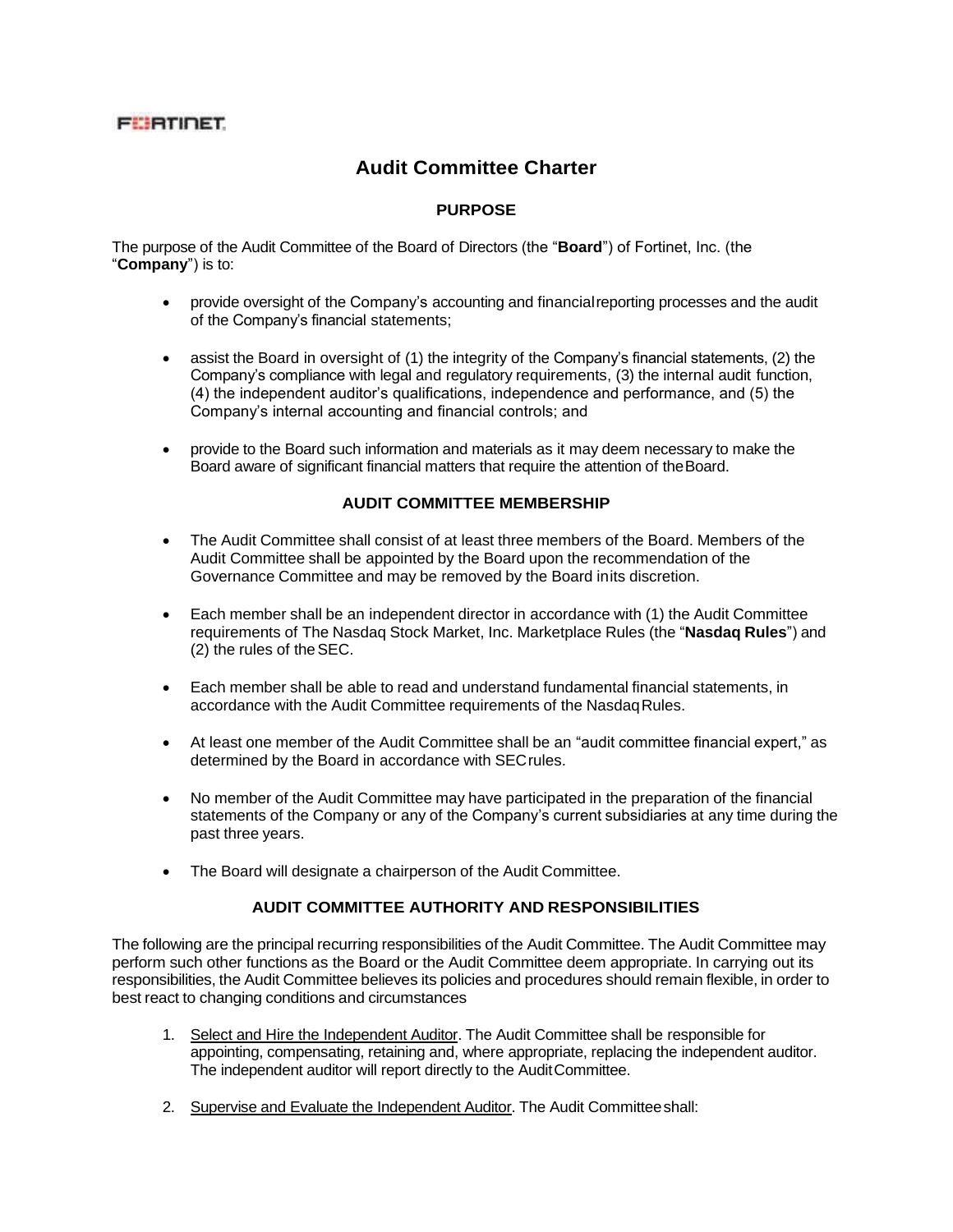## **FEBTIDET**

# **Audit Committee Charter**

### **PURPOSE**

The purpose of the Audit Committee of the Board of Directors (the "**Board**") of Fortinet, Inc. (the "**Company**") is to:

- provide oversight of the Company's accounting and financialreporting processes and the audit of the Company's financial statements;
- assist the Board in oversight of (1) the integrity of the Company's financial statements, (2) the Company's compliance with legal and regulatory requirements, (3) the internal audit function, (4) the independent auditor's qualifications, independence and performance, and (5) the Company's internal accounting and financial controls; and
- provide to the Board such information and materials as it may deem necessary to make the Board aware of significant financial matters that require the attention of theBoard.

#### **AUDIT COMMITTEE MEMBERSHIP**

- The Audit Committee shall consist of at least three members of the Board. Members of the Audit Committee shall be appointed by the Board upon the recommendation of the Governance Committee and may be removed by the Board inits discretion.
- Each member shall be an independent director in accordance with (1) the Audit Committee requirements of The Nasdaq Stock Market, Inc. Marketplace Rules (the "**Nasdaq Rules**") and (2) the rules of theSEC.
- Each member shall be able to read and understand fundamental financial statements, in accordance with the Audit Committee requirements of the Nasdaq Rules.
- At least one member of the Audit Committee shall be an "audit committee financial expert," as determined by the Board in accordance with SEC rules.
- No member of the Audit Committee may have participated in the preparation of the financial statements of the Company or any of the Company's current subsidiaries at any time during the past three years.
- The Board will designate a chairperson of the Audit Committee.

#### **AUDIT COMMITTEE AUTHORITY AND RESPONSIBILITIES**

The following are the principal recurring responsibilities of the Audit Committee. The Audit Committee may perform such other functions as the Board or the Audit Committee deem appropriate. In carrying out its responsibilities, the Audit Committee believes its policies and procedures should remain flexible, in order to best react to changing conditions and circumstances

- 1. Select and Hire the Independent Auditor. The Audit Committee shall be responsible for appointing, compensating, retaining and, where appropriate, replacing the independent auditor. The independent auditor will report directly to the AuditCommittee.
- 2. Supervise and Evaluate the Independent Auditor. The Audit Committeeshall: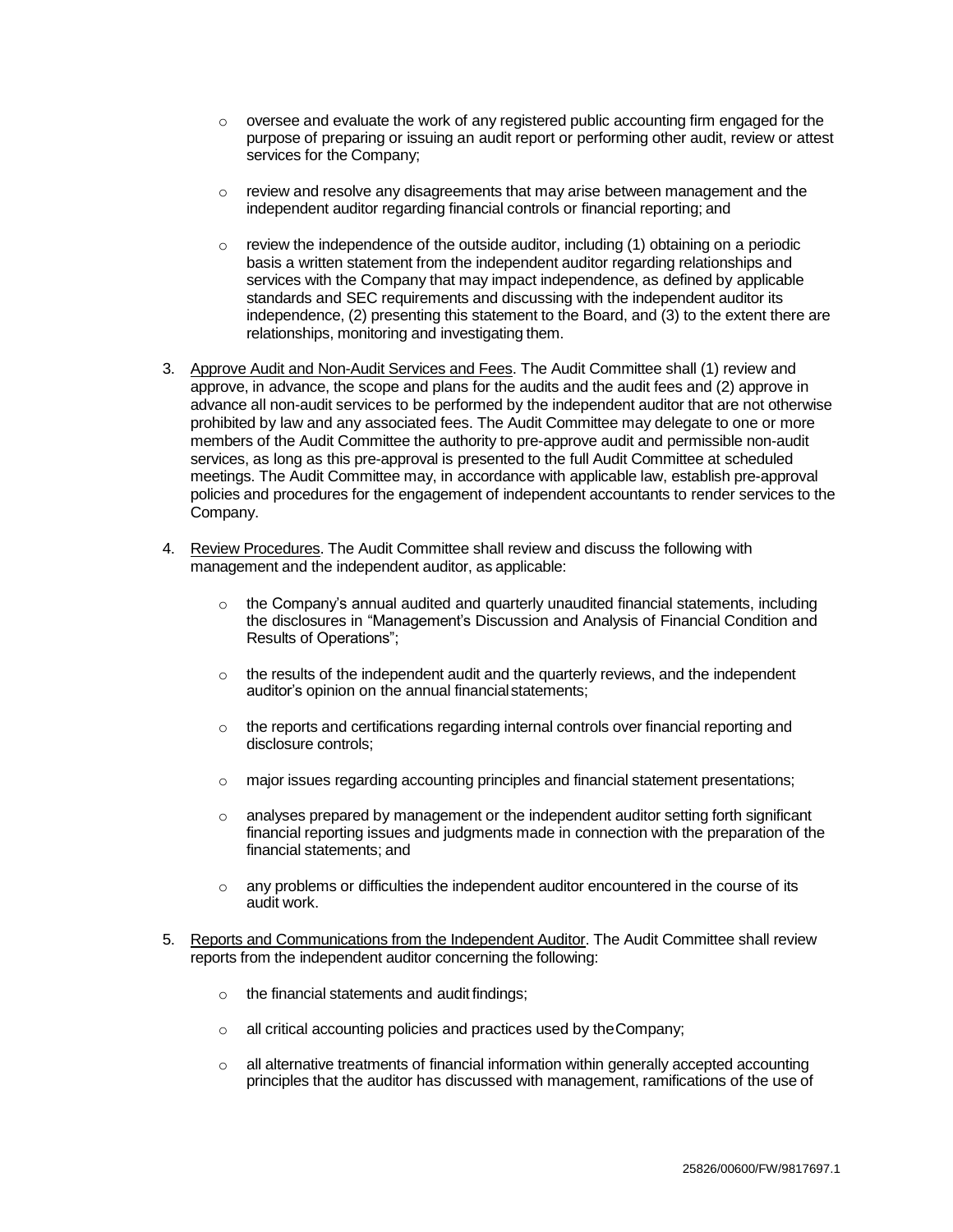- o oversee and evaluate the work of any registered public accounting firm engaged for the purpose of preparing or issuing an audit report or performing other audit, review or attest services for the Company;
- $\circ$  review and resolve any disagreements that may arise between management and the independent auditor regarding financial controls or financial reporting; and
- o review the independence of the outside auditor, including (1) obtaining on a periodic basis a written statement from the independent auditor regarding relationships and services with the Company that may impact independence, as defined by applicable standards and SEC requirements and discussing with the independent auditor its independence, (2) presenting this statement to the Board, and (3) to the extent there are relationships, monitoring and investigating them.
- 3. Approve Audit and Non-Audit Services and Fees. The Audit Committee shall (1) review and approve, in advance, the scope and plans for the audits and the audit fees and (2) approve in advance all non-audit services to be performed by the independent auditor that are not otherwise prohibited by law and any associated fees. The Audit Committee may delegate to one or more members of the Audit Committee the authority to pre-approve audit and permissible non-audit services, as long as this pre-approval is presented to the full Audit Committee at scheduled meetings. The Audit Committee may, in accordance with applicable law, establish pre-approval policies and procedures for the engagement of independent accountants to render services to the Company.
- 4. Review Procedures. The Audit Committee shall review and discuss the following with management and the independent auditor, as applicable:
	- $\circ$  the Company's annual audited and quarterly unaudited financial statements, including the disclosures in "Management's Discussion and Analysis of Financial Condition and Results of Operations";
	- $\circ$  the results of the independent audit and the quarterly reviews, and the independent auditor's opinion on the annual financialstatements;
	- $\circ$  the reports and certifications regarding internal controls over financial reporting and disclosure controls;
	- $\circ$  major issues regarding accounting principles and financial statement presentations;
	- $\circ$  analyses prepared by management or the independent auditor setting forth significant financial reporting issues and judgments made in connection with the preparation of the financial statements; and
	- $\circ$  any problems or difficulties the independent auditor encountered in the course of its audit work.
- 5. Reports and Communications from the Independent Auditor. The Audit Committee shall review reports from the independent auditor concerning the following:
	- o the financial statements and audit findings;
	- $\circ$  all critical accounting policies and practices used by the Company;
	- $\circ$  all alternative treatments of financial information within generally accepted accounting principles that the auditor has discussed with management, ramifications of the use of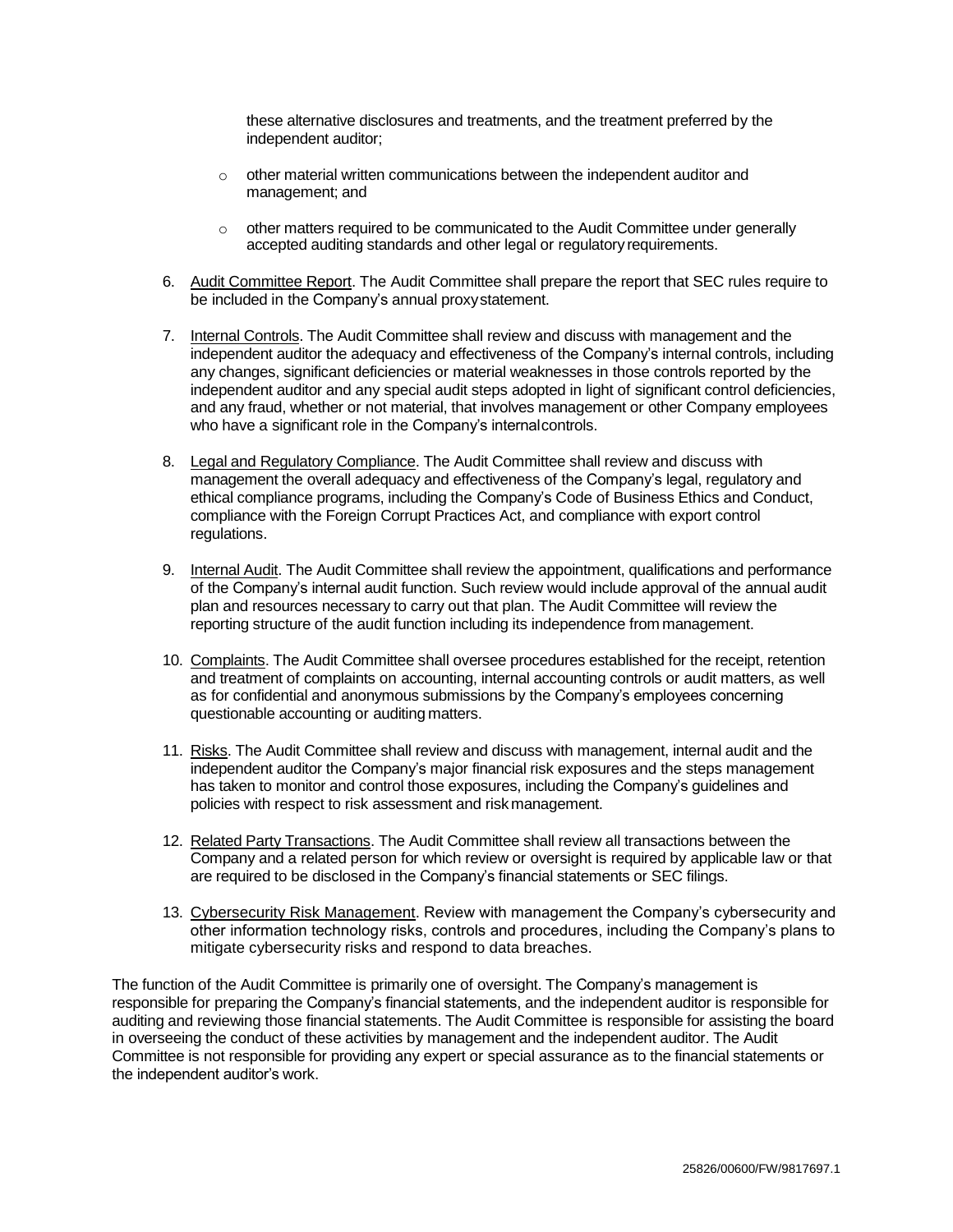these alternative disclosures and treatments, and the treatment preferred by the independent auditor;

- $\circ$  other material written communications between the independent auditor and management; and
- o other matters required to be communicated to the Audit Committee under generally accepted auditing standards and other legal or regulatory requirements.
- 6. Audit Committee Report. The Audit Committee shall prepare the report that SEC rules require to be included in the Company's annual proxystatement.
- 7. Internal Controls. The Audit Committee shall review and discuss with management and the independent auditor the adequacy and effectiveness of the Company's internal controls, including any changes, significant deficiencies or material weaknesses in those controls reported by the independent auditor and any special audit steps adopted in light of significant control deficiencies, and any fraud, whether or not material, that involves management or other Company employees who have a significant role in the Company's internalcontrols.
- 8. Legal and Regulatory Compliance. The Audit Committee shall review and discuss with management the overall adequacy and effectiveness of the Company's legal, regulatory and ethical compliance programs, including the Company's Code of Business Ethics and Conduct, compliance with the Foreign Corrupt Practices Act, and compliance with export control regulations.
- 9. Internal Audit. The Audit Committee shall review the appointment, qualifications and performance of the Company's internal audit function. Such review would include approval of the annual audit plan and resources necessary to carry out that plan. The Audit Committee will review the reporting structure of the audit function including its independence from management.
- 10. Complaints. The Audit Committee shall oversee procedures established for the receipt, retention and treatment of complaints on accounting, internal accounting controls or audit matters, as well as for confidential and anonymous submissions by the Company's employees concerning questionable accounting or auditing matters.
- 11. Risks. The Audit Committee shall review and discuss with management, internal audit and the independent auditor the Company's major financial risk exposures and the steps management has taken to monitor and control those exposures, including the Company's guidelines and policies with respect to risk assessment and risk management.
- 12. Related Party Transactions. The Audit Committee shall review all transactions between the Company and a related person for which review or oversight is required by applicable law or that are required to be disclosed in the Company's financial statements or SEC filings.
- 13. Cybersecurity Risk Management. Review with management the Company's cybersecurity and other information technology risks, controls and procedures, including the Company's plans to mitigate cybersecurity risks and respond to data breaches.

The function of the Audit Committee is primarily one of oversight. The Company's management is responsible for preparing the Company's financial statements, and the independent auditor is responsible for auditing and reviewing those financial statements. The Audit Committee is responsible for assisting the board in overseeing the conduct of these activities by management and the independent auditor. The Audit Committee is not responsible for providing any expert or special assurance as to the financial statements or the independent auditor's work.